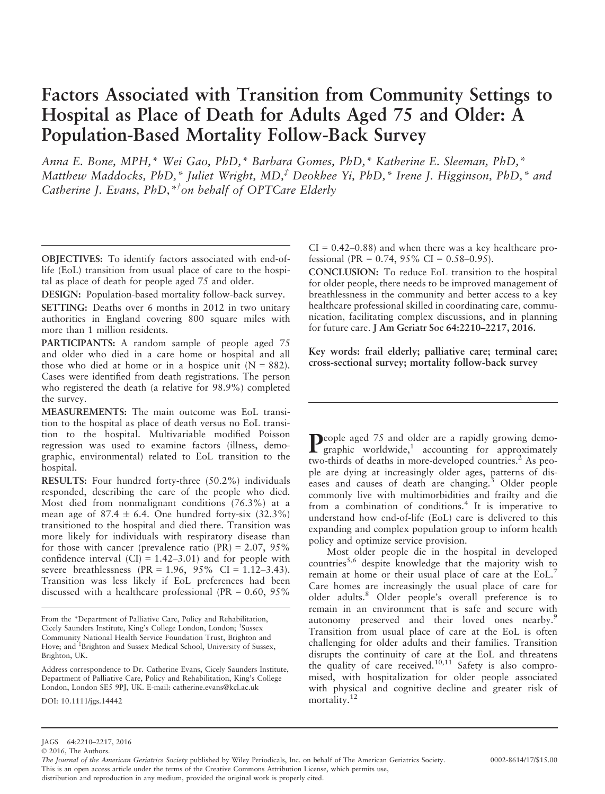# Factors Associated with Transition from Community Settings to Hospital as Place of Death for Adults Aged 75 and Older: A Population-Based Mortality Follow-Back Survey

Anna E. Bone, MPH,\* Wei Gao, PhD,\* Barbara Gomes, PhD,\* Katherine E. Sleeman, PhD,\* Matthew Maddocks, PhD,\* Juliet Wright, MD, $^{\ddagger}$  Deokhee Yi, PhD,\* Irene J. Higginson, PhD,\* and Catherine J. Evans, PhD,<sup>\*†</sup>on behalf of OPTCare Elderly

OBJECTIVES: To identify factors associated with end-oflife (EoL) transition from usual place of care to the hospital as place of death for people aged 75 and older.

DESIGN: Population-based mortality follow-back survey.

SETTING: Deaths over 6 months in 2012 in two unitary authorities in England covering 800 square miles with more than 1 million residents.

PARTICIPANTS: A random sample of people aged 75 and older who died in a care home or hospital and all those who died at home or in a hospice unit  $(N = 882)$ . Cases were identified from death registrations. The person who registered the death (a relative for 98.9%) completed the survey.

MEASUREMENTS: The main outcome was EoL transition to the hospital as place of death versus no EoL transition to the hospital. Multivariable modified Poisson regression was used to examine factors (illness, demographic, environmental) related to EoL transition to the hospital.

RESULTS: Four hundred forty-three (50.2%) individuals responded, describing the care of the people who died. Most died from nonmalignant conditions (76.3%) at a mean age of  $87.4 \pm 6.4$ . One hundred forty-six  $(32.3\%)$ transitioned to the hospital and died there. Transition was more likely for individuals with respiratory disease than for those with cancer (prevalence ratio  $(PR) = 2.07, 95\%$ confidence interval  $(CI) = 1.42-3.01$  and for people with severe breathlessness (PR = 1.96,  $95\%$  CI = 1.12–3.43). Transition was less likely if EoL preferences had been discussed with a healthcare professional ( $PR = 0.60, 95\%$ )

Address correspondence to Dr. Catherine Evans, Cicely Saunders Institute, Department of Palliative Care, Policy and Rehabilitation, King's College London, London SE5 9PJ, UK. E-mail: catherine.evans@kcl.ac.uk

DOI: 10.1111/jgs.14442

 $CI = 0.42{\text -}0.88$ ) and when there was a key healthcare professional (PR =  $0.74$ ,  $95\%$  CI =  $0.58-0.95$ ).

CONCLUSION: To reduce EoL transition to the hospital for older people, there needs to be improved management of breathlessness in the community and better access to a key healthcare professional skilled in coordinating care, communication, facilitating complex discussions, and in planning for future care. J Am Geriatr Soc 64:2210–2217, 2016.

Key words: frail elderly; palliative care; terminal care; cross-sectional survey; mortality follow-back survey

People aged 75 and older are a rapidly growing demographic worldwide,<sup>1</sup> accounting for approximately two-thirds of deaths in more-developed countries.<sup>2</sup> As people are dying at increasingly older ages, patterns of diseases and causes of death are changing.<sup>3</sup> Older people commonly live with multimorbidities and frailty and die from a combination of conditions.<sup>4</sup> It is imperative to understand how end-of-life (EoL) care is delivered to this expanding and complex population group to inform health policy and optimize service provision.

Most older people die in the hospital in developed countries<sup>5,6</sup> despite knowledge that the majority wish to remain at home or their usual place of care at the EoL.7 Care homes are increasingly the usual place of care for older adults.<sup>8</sup> Older people's overall preference is to remain in an environment that is safe and secure with autonomy preserved and their loved ones nearby.<sup>9</sup> Transition from usual place of care at the EoL is often challenging for older adults and their families. Transition disrupts the continuity of care at the EoL and threatens the quality of care received.<sup>10,11</sup> Safety is also compromised, with hospitalization for older people associated with physical and cognitive decline and greater risk of mortality.<sup>12</sup>

The Journal of the American Geriatrics Society published by Wiley Periodicals, Inc. on behalf of The American Geriatrics Society. 0002-8614/17/\$15.00 This is an open access article under the terms of the [Creative Commons Attribution](http://creativecommons.org/licenses/by/4.0/) License, which permits use,

From the \*Department of Palliative Care, Policy and Rehabilitation, Cicely Saunders Institute, King's College London, London; † Sussex Community National Health Service Foundation Trust, Brighton and Hove; and ‡ Brighton and Sussex Medical School, University of Sussex, Brighton, UK.

JAGS 64:2210–2217, 2016

<sup>©</sup> 2016, The Authors.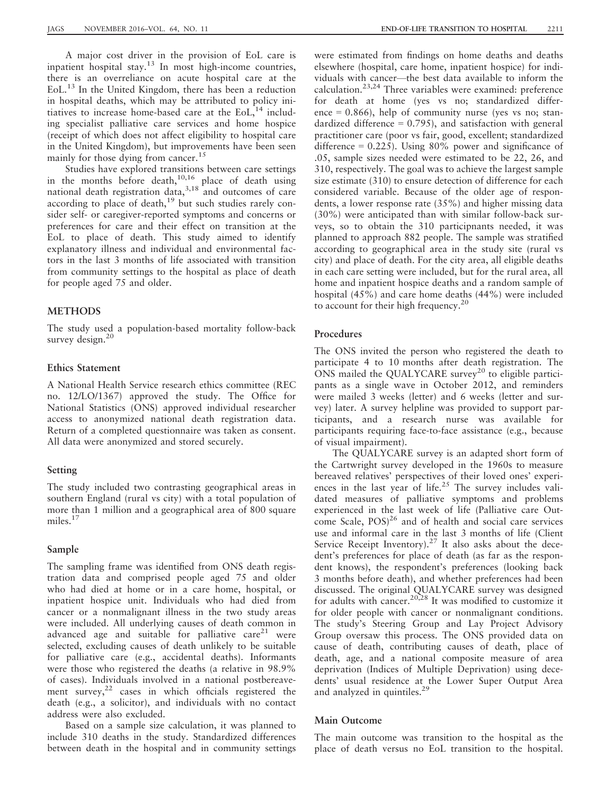A major cost driver in the provision of EoL care is inpatient hospital stay.<sup>13</sup> In most high-income countries, there is an overreliance on acute hospital care at the EoL.13 In the United Kingdom, there has been a reduction in hospital deaths, which may be attributed to policy initiatives to increase home-based care at the  $EoL<sub>14</sub><sup>14</sup>$  including specialist palliative care services and home hospice (receipt of which does not affect eligibility to hospital care in the United Kingdom), but improvements have been seen mainly for those dying from cancer.<sup>15</sup>

Studies have explored transitions between care settings in the months before death,  $10,16$  place of death using national death registration data, $3,18$  and outcomes of care according to place of death,<sup>19</sup> but such studies rarely consider self- or caregiver-reported symptoms and concerns or preferences for care and their effect on transition at the EoL to place of death. This study aimed to identify explanatory illness and individual and environmental factors in the last 3 months of life associated with transition from community settings to the hospital as place of death for people aged 75 and older.

#### METHODS

The study used a population-based mortality follow-back survey design.<sup>20</sup>

### Ethics Statement

A National Health Service research ethics committee (REC no. 12/LO/1367) approved the study. The Office for National Statistics (ONS) approved individual researcher access to anonymized national death registration data. Return of a completed questionnaire was taken as consent. All data were anonymized and stored securely.

#### Setting

The study included two contrasting geographical areas in southern England (rural vs city) with a total population of more than 1 million and a geographical area of 800 square miles.<sup>17</sup>

#### Sample

The sampling frame was identified from ONS death registration data and comprised people aged 75 and older who had died at home or in a care home, hospital, or inpatient hospice unit. Individuals who had died from cancer or a nonmalignant illness in the two study areas were included. All underlying causes of death common in advanced age and suitable for palliative care<sup>21</sup> were selected, excluding causes of death unlikely to be suitable for palliative care (e.g., accidental deaths). Informants were those who registered the deaths (a relative in 98.9% of cases). Individuals involved in a national postbereavement survey, $22$  cases in which officials registered the death (e.g., a solicitor), and individuals with no contact address were also excluded.

Based on a sample size calculation, it was planned to include 310 deaths in the study. Standardized differences between death in the hospital and in community settings were estimated from findings on home deaths and deaths elsewhere (hospital, care home, inpatient hospice) for individuals with cancer—the best data available to inform the calculation.23,24 Three variables were examined: preference for death at home (yes vs no; standardized difference  $= 0.866$ ), help of community nurse (yes vs no; standardized difference  $= 0.795$ , and satisfaction with general practitioner care (poor vs fair, good, excellent; standardized difference  $= 0.225$ . Using 80% power and significance of .05, sample sizes needed were estimated to be 22, 26, and 310, respectively. The goal was to achieve the largest sample size estimate (310) to ensure detection of difference for each considered variable. Because of the older age of respondents, a lower response rate (35%) and higher missing data (30%) were anticipated than with similar follow-back surveys, so to obtain the 310 participnants needed, it was planned to approach 882 people. The sample was stratified according to geographical area in the study site (rural vs city) and place of death. For the city area, all eligible deaths in each care setting were included, but for the rural area, all home and inpatient hospice deaths and a random sample of hospital (45%) and care home deaths (44%) were included to account for their high frequency.<sup>20</sup>

## Procedures

The ONS invited the person who registered the death to participate 4 to 10 months after death registration. The ONS mailed the QUALYCARE survey<sup>20</sup> to eligible participants as a single wave in October 2012, and reminders were mailed 3 weeks (letter) and 6 weeks (letter and survey) later. A survey helpline was provided to support participants, and a research nurse was available for participants requiring face-to-face assistance (e.g., because of visual impairment).

The QUALYCARE survey is an adapted short form of the Cartwright survey developed in the 1960s to measure bereaved relatives' perspectives of their loved ones' experiences in the last year of life.<sup>25</sup> The survey includes validated measures of palliative symptoms and problems experienced in the last week of life (Palliative care Outcome Scale,  $POS$ <sup>26</sup> and of health and social care services use and informal care in the last 3 months of life (Client Service Receipt Inventory).<sup>27</sup> It also asks about the decedent's preferences for place of death (as far as the respondent knows), the respondent's preferences (looking back 3 months before death), and whether preferences had been discussed. The original QUALYCARE survey was designed for adults with cancer.<sup>20,28</sup> It was modified to customize it for older people with cancer or nonmalignant conditions. The study's Steering Group and Lay Project Advisory Group oversaw this process. The ONS provided data on cause of death, contributing causes of death, place of death, age, and a national composite measure of area deprivation (Indices of Multiple Deprivation) using decedents' usual residence at the Lower Super Output Area and analyzed in quintiles.<sup>29</sup>

## Main Outcome

The main outcome was transition to the hospital as the place of death versus no EoL transition to the hospital.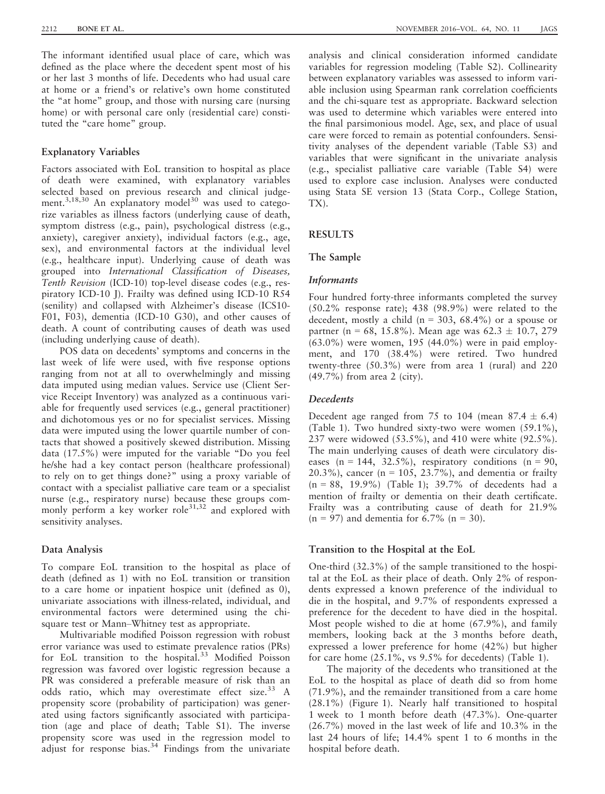The informant identified usual place of care, which was defined as the place where the decedent spent most of his or her last 3 months of life. Decedents who had usual care at home or a friend's or relative's own home constituted the "at home" group, and those with nursing care (nursing home) or with personal care only (residential care) constituted the "care home" group.

#### Explanatory Variables

Factors associated with EoL transition to hospital as place of death were examined, with explanatory variables selected based on previous research and clinical judgement.<sup>3,18,30</sup> An explanatory model<sup>30</sup> was used to categorize variables as illness factors (underlying cause of death, symptom distress (e.g., pain), psychological distress (e.g., anxiety), caregiver anxiety), individual factors (e.g., age, sex), and environmental factors at the individual level (e.g., healthcare input). Underlying cause of death was grouped into International Classification of Diseases, Tenth Revision (ICD-10) top-level disease codes (e.g., respiratory ICD-10 J). Frailty was defined using ICD-10 R54 (senility) and collapsed with Alzheimer's disease (ICS10- F01, F03), dementia (ICD-10 G30), and other causes of death. A count of contributing causes of death was used (including underlying cause of death).

POS data on decedents' symptoms and concerns in the last week of life were used, with five response options ranging from not at all to overwhelmingly and missing data imputed using median values. Service use (Client Service Receipt Inventory) was analyzed as a continuous variable for frequently used services (e.g., general practitioner) and dichotomous yes or no for specialist services. Missing data were imputed using the lower quartile number of contacts that showed a positively skewed distribution. Missing data (17.5%) were imputed for the variable "Do you feel he/she had a key contact person (healthcare professional) to rely on to get things done?" using a proxy variable of contact with a specialist palliative care team or a specialist nurse (e.g., respiratory nurse) because these groups commonly perform a key worker role<sup>31,32</sup> and explored with sensitivity analyses.

#### Data Analysis

To compare EoL transition to the hospital as place of death (defined as 1) with no EoL transition or transition to a care home or inpatient hospice unit (defined as 0), univariate associations with illness-related, individual, and environmental factors were determined using the chisquare test or Mann–Whitney test as appropriate.

Multivariable modified Poisson regression with robust error variance was used to estimate prevalence ratios (PRs) for EoL transition to the hospital.<sup>33</sup> Modified Poisson regression was favored over logistic regression because a PR was considered a preferable measure of risk than an odds ratio, which may overestimate effect size.<sup>33</sup> A propensity score (probability of participation) was generated using factors significantly associated with participation (age and place of death; Table S1). The inverse propensity score was used in the regression model to adjust for response bias. $34$  Findings from the univariate

analysis and clinical consideration informed candidate variables for regression modeling (Table S2). Collinearity between explanatory variables was assessed to inform variable inclusion using Spearman rank correlation coefficients and the chi-square test as appropriate. Backward selection was used to determine which variables were entered into the final parsimonious model. Age, sex, and place of usual care were forced to remain as potential confounders. Sensitivity analyses of the dependent variable (Table S3) and variables that were significant in the univariate analysis (e.g., specialist palliative care variable (Table S4) were used to explore case inclusion. Analyses were conducted using Stata SE version 13 (Stata Corp., College Station, TX).

#### RESULTS

#### The Sample

#### Informants

Four hundred forty-three informants completed the survey (50.2% response rate); 438 (98.9%) were related to the decedent, mostly a child ( $n = 303$ , 68.4%) or a spouse or partner (n = 68, 15.8%). Mean age was  $62.3 \pm 10.7$ , 279 (63.0%) were women, 195 (44.0%) were in paid employment, and 170 (38.4%) were retired. Two hundred twenty-three (50.3%) were from area 1 (rural) and 220 (49.7%) from area 2 (city).

#### **Decedents**

Decedent age ranged from 75 to 104 (mean  $87.4 \pm 6.4$ ) (Table 1). Two hundred sixty-two were women (59.1%), 237 were widowed (53.5%), and 410 were white (92.5%). The main underlying causes of death were circulatory diseases (n = 144, 32.5%), respiratory conditions (n = 90,  $20.3\%$ ), cancer (n = 105, 23.7%), and dementia or frailty  $(n = 88, 19.9\%)$  (Table 1); 39.7% of decedents had a mention of frailty or dementia on their death certificate. Frailty was a contributing cause of death for 21.9%  $(n = 97)$  and dementia for 6.7%  $(n = 30)$ .

#### Transition to the Hospital at the EoL

One-third (32.3%) of the sample transitioned to the hospital at the EoL as their place of death. Only 2% of respondents expressed a known preference of the individual to die in the hospital, and 9.7% of respondents expressed a preference for the decedent to have died in the hospital. Most people wished to die at home (67.9%), and family members, looking back at the 3 months before death, expressed a lower preference for home (42%) but higher for care home (25.1%, vs 9.5% for decedents) (Table 1).

The majority of the decedents who transitioned at the EoL to the hospital as place of death did so from home (71.9%), and the remainder transitioned from a care home (28.1%) (Figure 1). Nearly half transitioned to hospital 1 week to 1 month before death (47.3%). One-quarter (26.7%) moved in the last week of life and 10.3% in the last 24 hours of life; 14.4% spent 1 to 6 months in the hospital before death.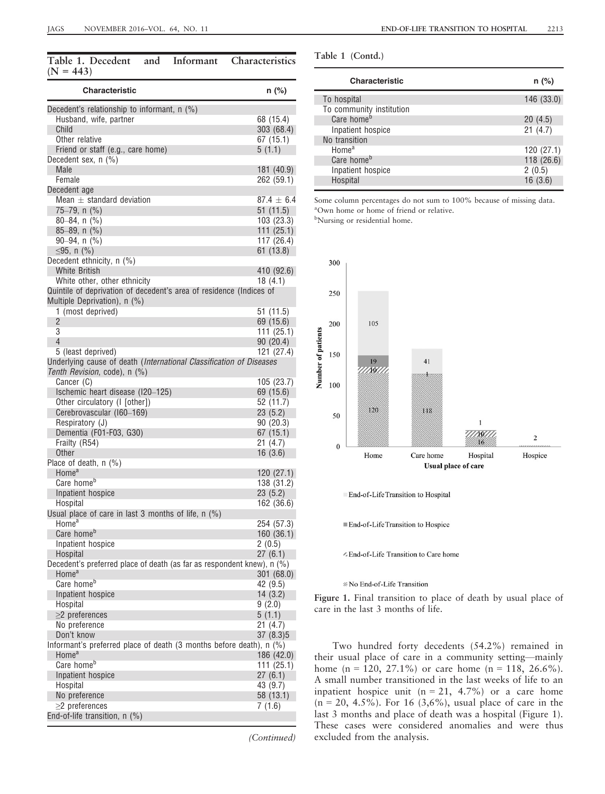Table 1. Decedent and Informant Characteristics  $(N = 443)$ 

| <b>Characteristic</b>                                                                               | $n$ (%)                  |
|-----------------------------------------------------------------------------------------------------|--------------------------|
| Decedent's relationship to informant, $n$ (%)                                                       |                          |
| Husband, wife, partner                                                                              | 68 (15.4)                |
| Child                                                                                               | 303 (68.4)               |
| Other relative                                                                                      | 67 (15.1)                |
| Friend or staff (e.g., care home)                                                                   | 5(1.1)                   |
| Decedent sex, n (%)                                                                                 |                          |
| Male<br>Female                                                                                      | 181 (40.9)<br>262 (59.1) |
| Decedent age                                                                                        |                          |
| Mean $\pm$ standard deviation                                                                       | $87.4 \pm 6.4$           |
| $75 - 79$ , n $(\%)$                                                                                | 51(11.5)                 |
| $80 - 84$ , n $(\%)$                                                                                | 103 (23.3)               |
| $85 - 89$ , n $(\%)$                                                                                | 111 (25.1)               |
| $90 - 94$ , n $(\%)$                                                                                | 117 (26.4)               |
| ≤95, n $(\%)$                                                                                       | 61 (13.8)                |
| Decedent ethnicity, n (%)                                                                           |                          |
| <b>White British</b>                                                                                | 410 (92.6)               |
| White other, other ethnicity<br>Quintile of deprivation of decedent's area of residence (Indices of | 18(4.1)                  |
| Multiple Deprivation), n (%)                                                                        |                          |
| 1 (most deprived)                                                                                   | 51 (11.5)                |
| $\overline{2}$                                                                                      | 69 (15.6)                |
| 3                                                                                                   | 111(25.1)                |
| $\overline{4}$                                                                                      | 90(20.4)                 |
| 5 (least deprived)                                                                                  | 121 (27.4)               |
| Underlying cause of death (International Classification of Diseases                                 |                          |
| Tenth Revision, code), n (%)                                                                        |                          |
| Cancer (C)                                                                                          | 105 (23.7)               |
| Ischemic heart disease (120-125)                                                                    | 69 (15.6)<br>52 (11.7)   |
| Other circulatory (I [other])<br>Cerebrovascular (160-169)                                          | 23(5.2)                  |
| Respiratory (J)                                                                                     | 90(20.3)                 |
| Dementia (F01-F03, G30)                                                                             | 67 (15.1)                |
| Frailty (R54)                                                                                       | 21(4.7)                  |
| Other                                                                                               | 16(3.6)                  |
| Place of death, $n$ (%)                                                                             |                          |
| Home <sup>a</sup>                                                                                   | 120(27.1)                |
| Care home <sup>b</sup>                                                                              | 138 (31.2)               |
| Inpatient hospice                                                                                   | 23(5.2)                  |
| Hospital                                                                                            | 162 (36.6)               |
| Usual place of care in last 3 months of life, $n$ (%)<br>Home <sup>a</sup>                          | 254 (57.3)               |
| Care home <sup>b</sup>                                                                              | 160(36.1)                |
| Inpatient hospice                                                                                   | 2 (0.5)                  |
| Hospital                                                                                            | 27(6.1)                  |
| Decedent's preferred place of death (as far as respondent knew), n (%)                              |                          |
| Home <sup>a</sup>                                                                                   | 301(68.0)                |
| Care home <sup>b</sup>                                                                              | 42 (9.5)                 |
| Inpatient hospice                                                                                   | 14(3.2)                  |
| Hospital                                                                                            | 9(2.0)                   |
| $\geq$ 2 preferences                                                                                | 5(1.1)                   |
| No preference<br>Don't know                                                                         | 21(4.7)<br>37 (8.3)5     |
| Informant's preferred place of death (3 months before death), n (%)                                 |                          |
| Home <sup>a</sup>                                                                                   | 186 (42.0)               |
| Care home <sup>b</sup>                                                                              | 111 (25.1)               |
| Inpatient hospice                                                                                   | 27(6.1)                  |
| Hospital                                                                                            | 43 (9.7)                 |
| No preference                                                                                       | 58 (13.1)                |
| $\geq$ 2 preferences                                                                                | 7(1.6)                   |
| End-of-life transition, n (%)                                                                       |                          |

(Continued)

#### Table 1 (Contd.)

| <b>Characteristic</b>    | $n (\%)$  |
|--------------------------|-----------|
| To hospital              | 146(33.0) |
| To community institution |           |
| Care home <sup>b</sup>   | 20(4.5)   |
| Inpatient hospice        | 21(4.7)   |
| No transition            |           |
| Home <sup>a</sup>        | 120(27.1) |
| Care home <sup>b</sup>   | 118(26.6) |
| Inpatient hospice        | 2(0.5)    |
| Hospital                 | 16(3.6)   |
|                          |           |

Some column percentages do not sum to 100% because of missing data. a Own home or home of friend or relative.

<sup>b</sup>Nursing or residential home.



End-of-Life Transition to Hospital

End-of-Life Transition to Hospice

∠ End-of-Life Transition to Care home

<sup>88</sup> No End-of-Life Transition

Figure 1. Final transition to place of death by usual place of care in the last 3 months of life.

Two hundred forty decedents (54.2%) remained in their usual place of care in a community setting—mainly home  $(n = 120, 27.1\%)$  or care home  $(n = 118, 26.6\%).$ A small number transitioned in the last weeks of life to an inpatient hospice unit  $(n = 21, 4.7%)$  or a care home  $(n = 20, 4.5\%)$ . For 16 (3,6%), usual place of care in the last 3 months and place of death was a hospital (Figure 1). These cases were considered anomalies and were thus excluded from the analysis.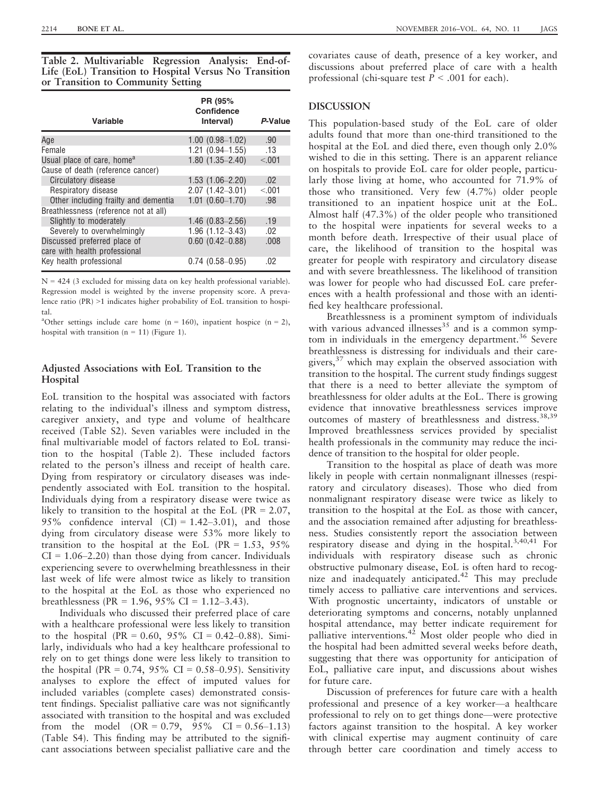Table 2. Multivariable Regression Analysis: End-of-Life (EoL) Transition to Hospital Versus No Transition or Transition to Community Setting

|                                                               | PR (95%<br>Confidence  |         |
|---------------------------------------------------------------|------------------------|---------|
| Variable                                                      | Interval)              | P-Value |
| Age                                                           | $1.00(0.98 - 1.02)$    | .90     |
| Female                                                        | $1.21(0.94 - 1.55)$    | .13     |
| Usual place of care, home <sup>a</sup>                        | $1.80(1.35 - 2.40)$    | < 001   |
| Cause of death (reference cancer)                             |                        |         |
| Circulatory disease                                           | $1.53(1.06 - 2.20)$    | .02     |
| Respiratory disease                                           | $2.07(1.42 - 3.01)$    | < 0.01  |
| Other including frailty and dementia                          | $1.01$ $(0.60 - 1.70)$ | .98     |
| Breathlessness (reference not at all)                         |                        |         |
| Slightly to moderately                                        | $1.46(0.83 - 2.56)$    | .19     |
| Severely to overwhelmingly                                    | $1.96(1.12 - 3.43)$    | .02     |
| Discussed preferred place of<br>care with health professional | $0.60$ $(0.42 - 0.88)$ | .008    |
| Key health professional                                       | $0.74(0.58 - 0.95)$    | .02     |

 $N = 424$  (3 excluded for missing data on key health professional variable). Regression model is weighted by the inverse propensity score. A prevalence ratio (PR) >1 indicates higher probability of EoL transition to hospital.

<sup>a</sup>Other settings include care home (n = 160), inpatient hospice (n = 2), hospital with transition  $(n = 11)$  (Figure 1).

# Adjusted Associations with EoL Transition to the Hospital

EoL transition to the hospital was associated with factors relating to the individual's illness and symptom distress, caregiver anxiety, and type and volume of healthcare received (Table S2). Seven variables were included in the final multivariable model of factors related to EoL transition to the hospital (Table 2). These included factors related to the person's illness and receipt of health care. Dying from respiratory or circulatory diseases was independently associated with EoL transition to the hospital. Individuals dying from a respiratory disease were twice as likely to transition to the hospital at the EoL ( $PR = 2.07$ , 95% confidence interval  $(CI) = 1.42-3.01$ , and those dying from circulatory disease were 53% more likely to transition to the hospital at the EoL (PR =  $1.53$ ,  $95\%$ )  $CI = 1.06 - 2.20$  than those dying from cancer. Individuals experiencing severe to overwhelming breathlessness in their last week of life were almost twice as likely to transition to the hospital at the EoL as those who experienced no breathlessness (PR = 1.96, 95% CI = 1.12–3.43).

Individuals who discussed their preferred place of care with a healthcare professional were less likely to transition to the hospital (PR =  $0.60$ ,  $95\%$  CI =  $0.42-0.88$ ). Similarly, individuals who had a key healthcare professional to rely on to get things done were less likely to transition to the hospital (PR =  $0.74$ ,  $95\%$  CI =  $0.58-0.95$ ). Sensitivity analyses to explore the effect of imputed values for included variables (complete cases) demonstrated consistent findings. Specialist palliative care was not significantly associated with transition to the hospital and was excluded from the model  $(OR = 0.79, 95\% \text{ CI} = 0.56-1.13)$ (Table S4). This finding may be attributed to the significant associations between specialist palliative care and the

covariates cause of death, presence of a key worker, and discussions about preferred place of care with a health professional (chi-square test  $\overline{P}$  < .001 for each).

# **DISCUSSION**

This population-based study of the EoL care of older adults found that more than one-third transitioned to the hospital at the EoL and died there, even though only 2.0% wished to die in this setting. There is an apparent reliance on hospitals to provide EoL care for older people, particularly those living at home, who accounted for 71.9% of those who transitioned. Very few (4.7%) older people transitioned to an inpatient hospice unit at the EoL. Almost half (47.3%) of the older people who transitioned to the hospital were inpatients for several weeks to a month before death. Irrespective of their usual place of care, the likelihood of transition to the hospital was greater for people with respiratory and circulatory disease and with severe breathlessness. The likelihood of transition was lower for people who had discussed EoL care preferences with a health professional and those with an identified key healthcare professional.

Breathlessness is a prominent symptom of individuals with various advanced illnesses  $35$  and is a common symptom in individuals in the emergency department.<sup>36</sup> Severe breathlessness is distressing for individuals and their caregivers, $37$  which may explain the observed association with transition to the hospital. The current study findings suggest that there is a need to better alleviate the symptom of breathlessness for older adults at the EoL. There is growing evidence that innovative breathlessness services improve outcomes of mastery of breathlessness and distress.<sup>38,39</sup> Improved breathlessness services provided by specialist health professionals in the community may reduce the incidence of transition to the hospital for older people.

Transition to the hospital as place of death was more likely in people with certain nonmalignant illnesses (respiratory and circulatory diseases). Those who died from nonmalignant respiratory disease were twice as likely to transition to the hospital at the EoL as those with cancer, and the association remained after adjusting for breathlessness. Studies consistently report the association between respiratory disease and dying in the hospital.3,40,41 For individuals with respiratory disease such as chronic obstructive pulmonary disease, EoL is often hard to recognize and inadequately anticipated.<sup>42</sup> This may preclude timely access to palliative care interventions and services. With prognostic uncertainty, indicators of unstable or deteriorating symptoms and concerns, notably unplanned hospital attendance, may better indicate requirement for palliative interventions.<sup>42</sup> Most older people who died in the hospital had been admitted several weeks before death, suggesting that there was opportunity for anticipation of EoL, palliative care input, and discussions about wishes for future care.

Discussion of preferences for future care with a health professional and presence of a key worker—a healthcare professional to rely on to get things done—were protective factors against transition to the hospital. A key worker with clinical expertise may augment continuity of care through better care coordination and timely access to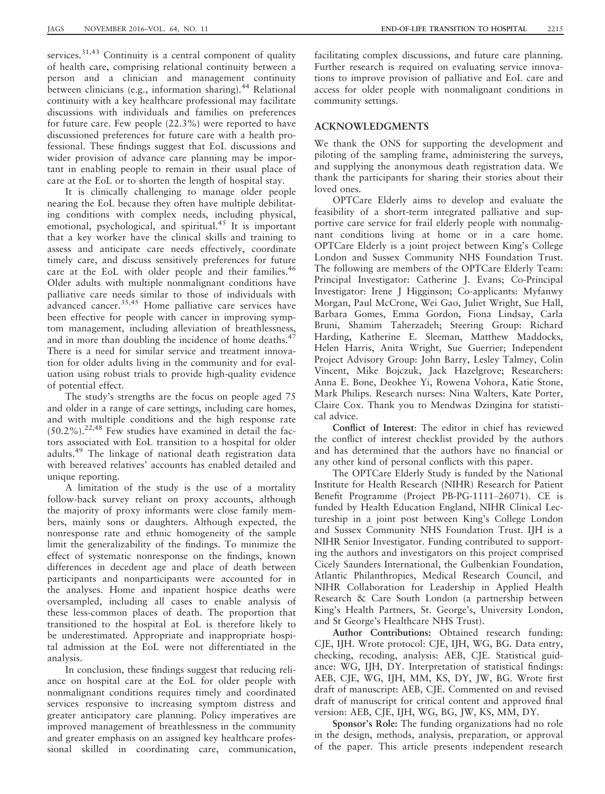services. $31,43$  Continuity is a central component of quality of health care, comprising relational continuity between a person and a clinician and management continuity between clinicians (e.g., information sharing).<sup>44</sup> Relational continuity with a key healthcare professional may facilitate discussions with individuals and families on preferences for future care. Few people (22.3%) were reported to have discussioned preferences for future care with a health professional. These findings suggest that EoL discussions and wider provision of advance care planning may be important in enabling people to remain in their usual place of care at the EoL or to shorten the length of hospital stay.

It is clinically challenging to manage older people nearing the EoL because they often have multiple debilitating conditions with complex needs, including physical, emotional, psychological, and spiritual.<sup>45</sup> It is important that a key worker have the clinical skills and training to assess and anticipate care needs effectively, coordinate timely care, and discuss sensitively preferences for future care at the EoL with older people and their families.<sup>46</sup> Older adults with multiple nonmalignant conditions have palliative care needs similar to those of individuals with advanced cancer.<sup>35,45</sup> Home palliative care services have been effective for people with cancer in improving symptom management, including alleviation of breathlessness, and in more than doubling the incidence of home deaths.<sup>47</sup> There is a need for similar service and treatment innovation for older adults living in the community and for evaluation using robust trials to provide high-quality evidence of potential effect.

The study's strengths are the focus on people aged 75 and older in a range of care settings, including care homes, and with multiple conditions and the high response rate  $(50.2\%)$ <sup>22,48</sup> Few studies have examined in detail the factors associated with EoL transition to a hospital for older adults.49 The linkage of national death registration data with bereaved relatives' accounts has enabled detailed and unique reporting.

A limitation of the study is the use of a mortality follow-back survey reliant on proxy accounts, although the majority of proxy informants were close family members, mainly sons or daughters. Although expected, the nonresponse rate and ethnic homogeneity of the sample limit the generalizability of the findings. To minimize the effect of systematic nonresponse on the findings, known differences in decedent age and place of death between participants and nonparticipants were accounted for in the analyses. Home and inpatient hospice deaths were oversampled, including all cases to enable analysis of these less-common places of death. The proportion that transitioned to the hospital at EoL is therefore likely to be underestimated. Appropriate and inappropriate hospital admission at the EoL were not differentiated in the analysis.

In conclusion, these findings suggest that reducing reliance on hospital care at the EoL for older people with nonmalignant conditions requires timely and coordinated services responsive to increasing symptom distress and greater anticipatory care planning. Policy imperatives are improved management of breathlessness in the community and greater emphasis on an assigned key healthcare professional skilled in coordinating care, communication, facilitating complex discussions, and future care planning. Further research is required on evaluating service innovations to improve provision of palliative and EoL care and access for older people with nonmalignant conditions in community settings.

# ACKNOWLEDGMENTS

We thank the ONS for supporting the development and piloting of the sampling frame, administering the surveys, and supplying the anonymous death registration data. We thank the participants for sharing their stories about their loved ones.

OPTCare Elderly aims to develop and evaluate the feasibility of a short-term integrated palliative and supportive care service for frail elderly people with nonmalignant conditions living at home or in a care home. OPTCare Elderly is a joint project between King's College London and Sussex Community NHS Foundation Trust. The following are members of the OPTCare Elderly Team: Principal Investigator: Catherine J. Evans; Co-Principal Investigator: Irene J Higginson; Co-applicants: Myfanwy Morgan, Paul McCrone, Wei Gao, Juliet Wright, Sue Hall, Barbara Gomes, Emma Gordon, Fiona Lindsay, Carla Bruni, Shamim Taherzadeh; Steering Group: Richard Harding, Katherine E. Sleeman, Matthew Maddocks, Helen Harris, Anita Wright, Sue Guerrier; Independent Project Advisory Group: John Barry, Lesley Talmey, Colin Vincent, Mike Bojczuk, Jack Hazelgrove; Researchers: Anna E. Bone, Deokhee Yi, Rowena Vohora, Katie Stone, Mark Philips. Research nurses: Nina Walters, Kate Porter, Claire Cox. Thank you to Mendwas Dzingina for statistical advice.

Conflict of Interest: The editor in chief has reviewed the conflict of interest checklist provided by the authors and has determined that the authors have no financial or any other kind of personal conflicts with this paper.

The OPTCare Elderly Study is funded by the National Institute for Health Research (NIHR) Research for Patient Benefit Programme (Project PB-PG-1111–26071). CE is funded by Health Education England, NIHR Clinical Lectureship in a joint post between King's College London and Sussex Community NHS Foundation Trust. IJH is a NIHR Senior Investigator. Funding contributed to supporting the authors and investigators on this project comprised Cicely Saunders International, the Gulbenkian Foundation, Atlantic Philanthropies, Medical Research Council, and NIHR Collaboration for Leadership in Applied Health Research & Care South London (a partnership between King's Health Partners, St. George's, University London, and St George's Healthcare NHS Trust).

Author Contributions: Obtained research funding: CJE, IJH. Wrote protocol: CJE, IJH, WG, BG. Data entry, checking, recoding, analysis: AEB, CJE. Statistical guidance: WG, IJH, DY. Interpretation of statistical findings: AEB, CJE, WG, IJH, MM, KS, DY, JW, BG. Wrote first draft of manuscript: AEB, CJE. Commented on and revised draft of manuscript for critical content and approved final version: AEB, CJE, IJH, WG, BG, JW, KS, MM, DY.

Sponsor's Role: The funding organizations had no role in the design, methods, analysis, preparation, or approval of the paper. This article presents independent research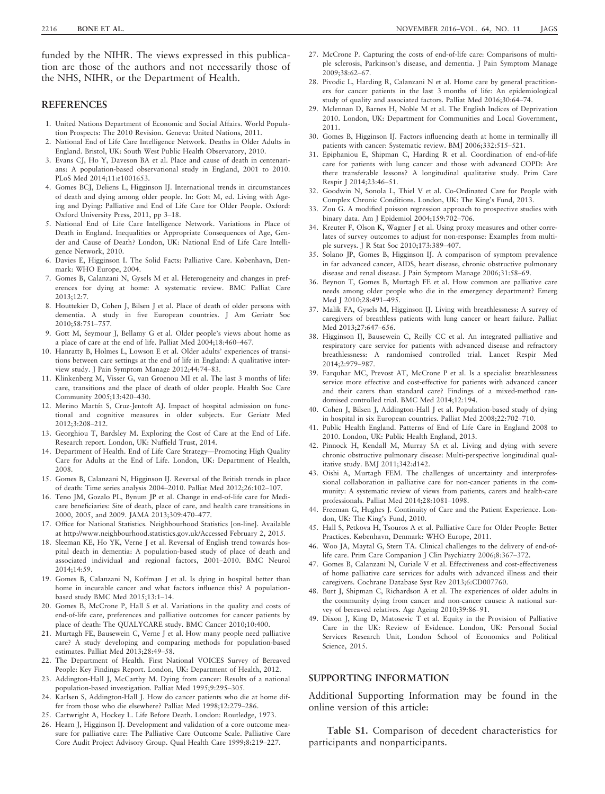funded by the NIHR. The views expressed in this publication are those of the authors and not necessarily those of the NHS, NIHR, or the Department of Health.

#### REFERENCES

- 1. United Nations Department of Economic and Social Affairs. World Population Prospects: The 2010 Revision. Geneva: United Nations, 2011.
- 2. National End of Life Care Intelligence Network. Deaths in Older Adults in England. Bristol, UK: South West Public Health Observatory, 2010.
- 3. Evans CJ, Ho Y, Daveson BA et al. Place and cause of death in centenarians: A population-based observational study in England, 2001 to 2010. PLoS Med 2014;11:e1001653.
- 4. Gomes BCJ, Deliens L, Higginson IJ. International trends in circumstances of death and dying among older people. In: Gott M, ed. Living with Ageing and Dying: Palliative and End of Life Care for Older People. Oxford: Oxford University Press, 2011, pp 3–18.
- 5. National End of Life Care Intelligence Network. Variations in Place of Death in England. Inequalities or Appropriate Consequences of Age, Gender and Cause of Death? London, UK: National End of Life Care Intelligence Network, 2010.
- 6. Davies E, Higginson I. The Solid Facts: Palliative Care. København, Denmark: WHO Europe, 2004.
- 7. Gomes B, Calanzani N, Gysels M et al. Heterogeneity and changes in preferences for dying at home: A systematic review. BMC Palliat Care 2013;12:7.
- 8. Houttekier D, Cohen J, Bilsen J et al. Place of death of older persons with dementia. A study in five European countries. J Am Geriatr Soc 2010;58:751–757.
- 9. Gott M, Seymour J, Bellamy G et al. Older people's views about home as a place of care at the end of life. Palliat Med 2004;18:460–467.
- 10. Hanratty B, Holmes L, Lowson E et al. Older adults' experiences of transitions between care settings at the end of life in England: A qualitative interview study. J Pain Symptom Manage 2012;44:74–83.
- 11. Klinkenberg M, Visser G, van Groenou MI et al. The last 3 months of life: care, transitions and the place of death of older people. Health Soc Care Community 2005;13:420–430.
- 12. Merino Martín S, Cruz-Jentoft AJ. Impact of hospital admission on functional and cognitive measures in older subjects. Eur Geriatr Med 2012;3:208–212.
- 13. Georghiou T, Bardsley M. Exploring the Cost of Care at the End of Life. Research report. London, UK: Nuffield Trust, 2014.
- 14. Department of Health. End of Life Care Strategy—Promoting High Quality Care for Adults at the End of Life. London, UK: Department of Health, 2008.
- 15. Gomes B, Calanzani N, Higginson IJ. Reversal of the British trends in place of death: Time series analysis 2004–2010. Palliat Med 2012;26:102–107.
- 16. Teno JM, Gozalo PL, Bynum JP et al. Change in end-of-life care for Medicare beneficiaries: Site of death, place of care, and health care transitions in 2000, 2005, and 2009. JAMA 2013;309:470–477.
- 17. Office for National Statistics. Neighbourhood Statistics [on-line]. Available at<http://www.neighbourhood.statistics.gov.uk/Accessed> February 2, 2015.
- 18. Sleeman KE, Ho YK, Verne J et al. Reversal of English trend towards hospital death in dementia: A population-based study of place of death and associated individual and regional factors, 2001–2010. BMC Neurol 2014;14:59.
- 19. Gomes B, Calanzani N, Koffman J et al. Is dying in hospital better than home in incurable cancer and what factors influence this? A populationbased study BMC Med 2015;13:1–14.
- 20. Gomes B, McCrone P, Hall S et al. Variations in the quality and costs of end-of-life care, preferences and palliative outcomes for cancer patients by place of death: The QUALYCARE study. BMC Cancer 2010;10:400.
- 21. Murtagh FE, Bausewein C, Verne J et al. How many people need palliative care? A study developing and comparing methods for population-based estimates. Palliat Med 2013;28:49–58.
- 22. The Department of Health. First National VOICES Survey of Bereaved People: Key Findings Report. London, UK: Department of Health, 2012.
- 23. Addington-Hall J, McCarthy M. Dying from cancer: Results of a national population-based investigation. Palliat Med 1995;9:295–305.
- 24. Karlsen S, Addington-Hall J. How do cancer patients who die at home differ from those who die elsewhere? Palliat Med 1998;12:279–286.
- 25. Cartwright A, Hockey L. Life Before Death. London: Routledge, 1973.
- 26. Hearn J, Higginson IJ. Development and validation of a core outcome measure for palliative care: The Palliative Care Outcome Scale. Palliative Care Core Audit Project Advisory Group. Qual Health Care 1999;8:219–227.
- 27. McCrone P. Capturing the costs of end-of-life care: Comparisons of multiple sclerosis, Parkinson's disease, and dementia. J Pain Symptom Manage 2009;38:62–67.
- 28. Pivodic L, Harding R, Calanzani N et al. Home care by general practitioners for cancer patients in the last 3 months of life: An epidemiological study of quality and associated factors. Palliat Med 2016;30:64–74.
- 29. Mclennan D, Barnes H, Noble M et al. The English Indices of Deprivation 2010. London, UK: Department for Communities and Local Government, 2011.
- 30. Gomes B, Higginson IJ. Factors influencing death at home in terminally ill patients with cancer: Systematic review. BMJ 2006;332:515–521.
- 31. Epiphaniou E, Shipman C, Harding R et al. Coordination of end-of-life care for patients with lung cancer and those with advanced COPD: Are there transferable lessons? A longitudinal qualitative study. Prim Care Respir J 2014;23:46–51.
- 32. Goodwin N, Sonola L, Thiel V et al. Co-Ordinated Care for People with Complex Chronic Conditions. London, UK: The King's Fund, 2013.
- 33. Zou G. A modified poisson regression approach to prospective studies with binary data. Am J Epidemiol 2004;159:702–706.
- 34. Kreuter F, Olson K, Wagner J et al. Using proxy measures and other correlates of survey outcomes to adjust for non-response: Examples from multiple surveys. J R Stat Soc 2010;173:389–407.
- 35. Solano JP, Gomes B, Higginson IJ. A comparison of symptom prevalence in far advanced cancer, AIDS, heart disease, chronic obstructive pulmonary disease and renal disease. J Pain Symptom Manage 2006;31:58–69.
- 36. Beynon T, Gomes B, Murtagh FE et al. How common are palliative care needs among older people who die in the emergency department? Emerg Med J 2010;28:491-495.
- 37. Malik FA, Gysels M, Higginson IJ. Living with breathlessness: A survey of caregivers of breathless patients with lung cancer or heart failure. Palliat Med 2013;27:647–656.
- 38. Higginson IJ, Bausewein C, Reilly CC et al. An integrated palliative and respiratory care service for patients with advanced disease and refractory breathlessness: A randomised controlled trial. Lancet Respir Med 2014;2:979–987.
- 39. Farquhar MC, Prevost AT, McCrone P et al. Is a specialist breathlessness service more effective and cost-effective for patients with advanced cancer and their carers than standard care? Findings of a mixed-method randomised controlled trial. BMC Med 2014;12:194.
- 40. Cohen J, Bilsen J, Addington-Hall J et al. Population-based study of dying in hospital in six European countries. Palliat Med 2008;22:702–710.
- 41. Public Health England. Patterns of End of Life Care in England 2008 to 2010. London, UK: Public Health England, 2013.
- 42. Pinnock H, Kendall M, Murray SA et al. Living and dying with severe chronic obstructive pulmonary disease: Multi-perspective longitudinal qualitative study. BMJ 2011;342:d142.
- 43. Oishi A, Murtagh FEM. The challenges of uncertainty and interprofessional collaboration in palliative care for non-cancer patients in the community: A systematic review of views from patients, carers and health-care professionals. Palliat Med 2014;28:1081–1098.
- 44. Freeman G, Hughes J. Continuity of Care and the Patient Experience. London, UK: The King's Fund, 2010.
- 45. Hall S, Petkova H, Tsouros A et al. Palliative Care for Older People: Better Practices. København, Denmark: WHO Europe, 2011.
- 46. Woo JA, Maytal G, Stern TA. Clinical challenges to the delivery of end-oflife care. Prim Care Companion J Clin Psychiatry 2006;8:367–372.
- 47. Gomes B, Calanzani N, Curiale V et al. Effectiveness and cost-effectiveness of home palliative care services for adults with advanced illness and their caregivers. Cochrane Database Syst Rev 2013;6:CD007760.
- 48. Burt J, Shipman C, Richardson A et al. The experiences of older adults in the community dying from cancer and non-cancer causes: A national survey of bereaved relatives. Age Ageing 2010;39:86–91.
- 49. Dixon J, King D, Matosevic T et al. Equity in the Provision of Palliative Care in the UK: Review of Evidence. London, UK: Personal Social Services Research Unit, London School of Economics and Political Science, 2015.

## SUPPORTING INFORMATION

Additional Supporting Information may be found in the online version of this article:

Table S1. Comparison of decedent characteristics for participants and nonparticipants.